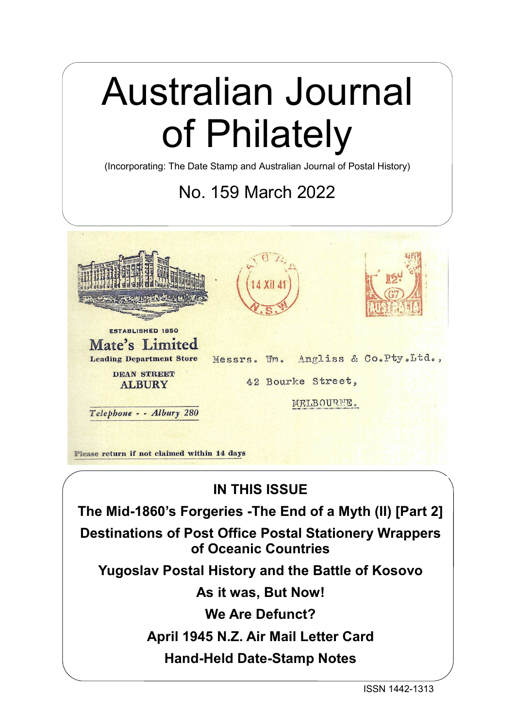# Australian Journal of Philately

(Incorporating: The Date Stamp and Australian Journal of Postal History)

## No. 159 March 2022



Please return if not claimed within 14 days

## **IN THIS ISSUE**

**The Mid-1860's Forgeries -The End of a Myth (II) [Part 2]**

**Destinations of Post Office Postal Stationery Wrappers of Oceanic Countries**

**Yugoslav Postal History and the Battle of Kosovo**

**As it was, But Now!**

**We Are Defunct?**

**April 1945 N.Z. Air Mail Letter Card**

**Hand-Held Date-Stamp Notes**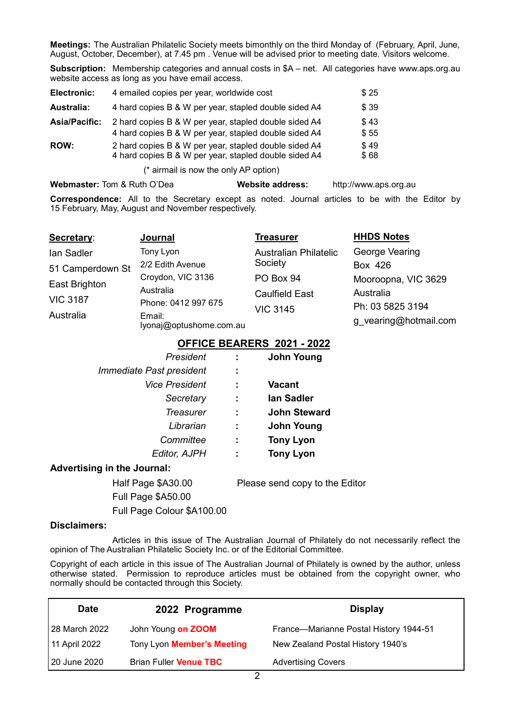**Meetings:** The Australian Philatelic Society meets bimonthly on the third Monday of (February, April, June, August, October, December), at 7.45 pm . Venue will be advised prior to meeting date. Visitors welcome.

**Subscription:** Membership categories and annual costs in \$A – net. All categories have www.aps.org.au website access as long as you have email access.

| Electronic:          | 4 emailed copies per year, worldwide cost                                                                      | \$25         |
|----------------------|----------------------------------------------------------------------------------------------------------------|--------------|
| Australia:           | 4 hard copies B & W per year, stapled double sided A4                                                          | \$39         |
| <b>Asia/Pacific:</b> | 2 hard copies B & W per year, stapled double sided A4<br>4 hard copies B & W per year, stapled double sided A4 | \$43<br>\$55 |
| <b>ROW:</b>          | 2 hard copies B & W per year, stapled double sided A4<br>4 hard copies B & W per year, stapled double sided A4 | \$49<br>\$68 |

(\* airmail is now the only AP option)

**Webmaster:** Tom & Ruth O'Dea **Website address:** http://www.aps.org.au

**Correspondence:** All to the Secretary except as noted. Journal articles to be with the Editor by 15 February, May, August and November respectively.

| Secretary:       | Journal                           | <b>Treasurer</b>             | <b>HHDS Notes</b>     |
|------------------|-----------------------------------|------------------------------|-----------------------|
| lan Sadler       | Tony Lyon                         | <b>Australian Philatelic</b> | George Vearing        |
| 51 Camperdown St | 2/2 Edith Avenue                  | Society                      | Box 426               |
| East Brighton    | Croydon, VIC 3136                 | PO Box 94                    | Mooroopna, VIC 3629   |
|                  | Australia                         | <b>Caulfield East</b>        | Australia             |
| <b>VIC 3187</b>  | Phone: 0412 997 675               | <b>VIC 3145</b>              | Ph: 03 5825 3194      |
| Australia        | Email:<br>lyonaj@optushome.com.au |                              | g vearing@hotmail.com |

### **OFFICE BEARERS 2021 - 2022**

| President                          |   | <b>John Young</b>   |
|------------------------------------|---|---------------------|
| Immediate Past president           | ÷ |                     |
| <b>Vice President</b>              | ÷ | <b>Vacant</b>       |
| Secretary                          | ÷ | lan Sadler          |
| Treasurer                          | ÷ | <b>John Steward</b> |
| Librarian                          | ÷ | <b>John Young</b>   |
| Committee                          | ÷ | <b>Tony Lyon</b>    |
| <b>Editor, AJPH</b>                | ÷ | <b>Tony Lyon</b>    |
| <b>Advertising in the Journal:</b> |   |                     |

Full Page \$A50.00

Full Page Colour \$A100.00

Half Page \$A30.00 Please send copy to the Editor

#### **Disclaimers:**

Articles in this issue of The Australian Journal of Philately do not necessarily reflect the opinion of The Australian Philatelic Society Inc. or of the Editorial Committee.

Copyright of each article in this issue of The Australian Journal of Philately is owned by the author, unless otherwise stated. Permission to reproduce articles must be obtained from the copyright owner, who normally should be contacted through this Society.

| <b>Date</b>   | 2022 Programme                | <b>Display</b>                         |
|---------------|-------------------------------|----------------------------------------|
| 28 March 2022 | John Young on ZOOM            | France-Marianne Postal History 1944-51 |
| 11 April 2022 | Tony Lyon Member's Meeting    | New Zealand Postal History 1940's      |
| 20 June 2020  | <b>Brian Fuller Venue TBC</b> | <b>Advertising Covers</b>              |